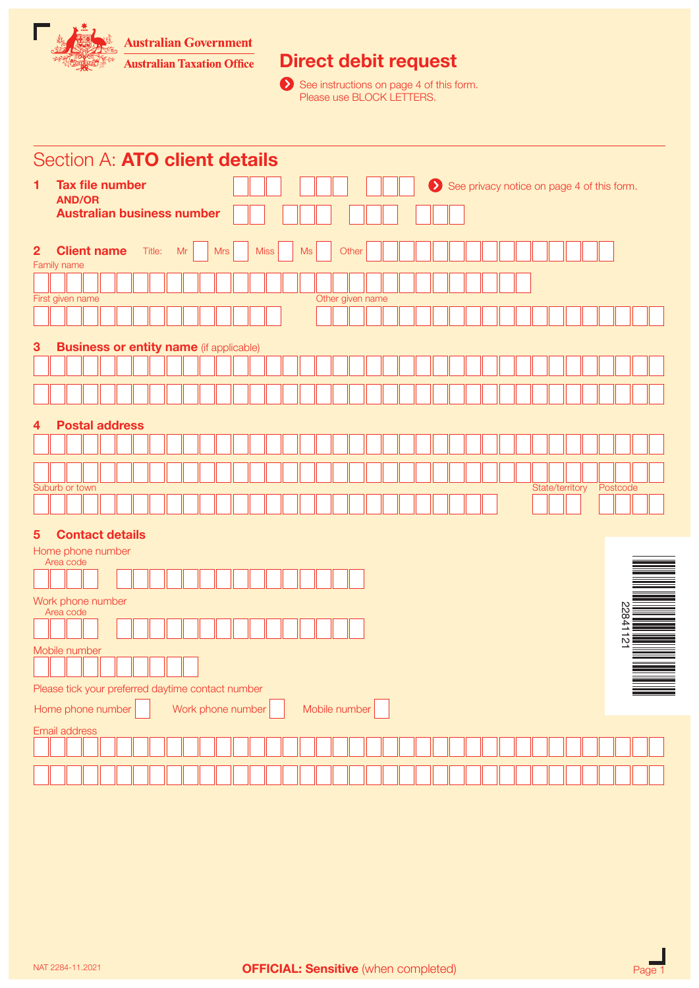**Australian Government** 



# Direct debit request

 See instructions on page 4 of this form. Please use BLOCK LETTERS.

|                | Section A: ATO client details                      |                      |  |    |                   |  |             |  |  |    |                  |       |  |  |  |  |  |  |                 |                                            |  |
|----------------|----------------------------------------------------|----------------------|--|----|-------------------|--|-------------|--|--|----|------------------|-------|--|--|--|--|--|--|-----------------|--------------------------------------------|--|
| 1              | <b>Tax file number</b>                             |                      |  |    |                   |  |             |  |  |    |                  |       |  |  |  |  |  |  |                 | See privacy notice on page 4 of this form. |  |
|                | <b>AND/OR</b><br><b>Australian business number</b> |                      |  |    |                   |  |             |  |  |    |                  |       |  |  |  |  |  |  |                 |                                            |  |
|                |                                                    |                      |  |    |                   |  |             |  |  |    |                  |       |  |  |  |  |  |  |                 |                                            |  |
| $\overline{2}$ | <b>Client name</b>                                 | Title:               |  | Mr | <b>Mrs</b>        |  | <b>Miss</b> |  |  | Ms |                  | Other |  |  |  |  |  |  |                 |                                            |  |
|                | Family name                                        |                      |  |    |                   |  |             |  |  |    |                  |       |  |  |  |  |  |  |                 |                                            |  |
|                | First given name                                   |                      |  |    |                   |  |             |  |  |    | Other given name |       |  |  |  |  |  |  |                 |                                            |  |
|                |                                                    |                      |  |    |                   |  |             |  |  |    |                  |       |  |  |  |  |  |  |                 |                                            |  |
|                |                                                    |                      |  |    |                   |  |             |  |  |    |                  |       |  |  |  |  |  |  |                 |                                            |  |
| 3              | <b>Business or entity name (if applicable)</b>     |                      |  |    |                   |  |             |  |  |    |                  |       |  |  |  |  |  |  |                 |                                            |  |
|                |                                                    |                      |  |    |                   |  |             |  |  |    |                  |       |  |  |  |  |  |  |                 |                                            |  |
|                |                                                    |                      |  |    |                   |  |             |  |  |    |                  |       |  |  |  |  |  |  |                 |                                            |  |
| 4              | <b>Postal address</b>                              |                      |  |    |                   |  |             |  |  |    |                  |       |  |  |  |  |  |  |                 |                                            |  |
|                |                                                    |                      |  |    |                   |  |             |  |  |    |                  |       |  |  |  |  |  |  |                 |                                            |  |
|                |                                                    |                      |  |    |                   |  |             |  |  |    |                  |       |  |  |  |  |  |  |                 |                                            |  |
|                | Suburb or town                                     |                      |  |    |                   |  |             |  |  |    |                  |       |  |  |  |  |  |  | State/territory | Postcode                                   |  |
|                |                                                    |                      |  |    |                   |  |             |  |  |    |                  |       |  |  |  |  |  |  |                 |                                            |  |
| $\overline{5}$ | <b>Contact details</b>                             |                      |  |    |                   |  |             |  |  |    |                  |       |  |  |  |  |  |  |                 |                                            |  |
|                | Home phone number                                  |                      |  |    |                   |  |             |  |  |    |                  |       |  |  |  |  |  |  |                 |                                            |  |
|                | Area code                                          |                      |  |    |                   |  |             |  |  |    |                  |       |  |  |  |  |  |  |                 |                                            |  |
|                | Work phone number                                  |                      |  |    |                   |  |             |  |  |    |                  |       |  |  |  |  |  |  |                 |                                            |  |
|                | Area code                                          |                      |  |    |                   |  |             |  |  |    |                  |       |  |  |  |  |  |  |                 | N<br>84                                    |  |
|                |                                                    |                      |  |    |                   |  |             |  |  |    |                  |       |  |  |  |  |  |  |                 | $\mathsf{D}$                               |  |
|                | Mobile number                                      |                      |  |    |                   |  |             |  |  |    |                  |       |  |  |  |  |  |  |                 |                                            |  |
|                |                                                    | المسالسيا لمسالسيالا |  |    |                   |  |             |  |  |    |                  |       |  |  |  |  |  |  |                 |                                            |  |
|                | Please tick your preferred daytime contact number  |                      |  |    |                   |  |             |  |  |    |                  |       |  |  |  |  |  |  |                 |                                            |  |
|                | Home phone number                                  |                      |  |    | Work phone number |  |             |  |  |    | Mobile number    |       |  |  |  |  |  |  |                 |                                            |  |
|                | Email address                                      |                      |  |    |                   |  |             |  |  |    |                  |       |  |  |  |  |  |  |                 |                                            |  |
|                |                                                    |                      |  |    |                   |  |             |  |  |    |                  |       |  |  |  |  |  |  |                 |                                            |  |
|                |                                                    |                      |  |    |                   |  |             |  |  |    |                  |       |  |  |  |  |  |  |                 |                                            |  |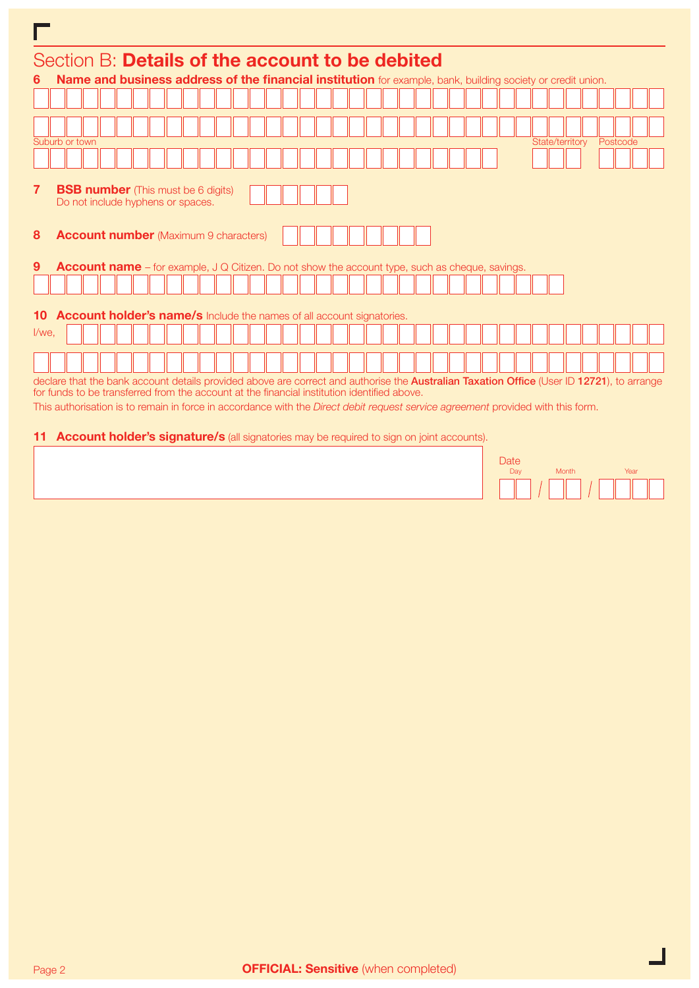| П     |                                                                                                                                                                                                                                          |  |                                                                                                        |  |  |  |  |  |  |  |  |  |  |  |  |  |  |  |  |                 |  |          |  |
|-------|------------------------------------------------------------------------------------------------------------------------------------------------------------------------------------------------------------------------------------------|--|--------------------------------------------------------------------------------------------------------|--|--|--|--|--|--|--|--|--|--|--|--|--|--|--|--|-----------------|--|----------|--|
|       | Section B: Details of the account to be debited                                                                                                                                                                                          |  |                                                                                                        |  |  |  |  |  |  |  |  |  |  |  |  |  |  |  |  |                 |  |          |  |
| 6     | Name and business address of the financial institution for example, bank, building society or credit union.                                                                                                                              |  |                                                                                                        |  |  |  |  |  |  |  |  |  |  |  |  |  |  |  |  |                 |  |          |  |
|       |                                                                                                                                                                                                                                          |  |                                                                                                        |  |  |  |  |  |  |  |  |  |  |  |  |  |  |  |  |                 |  |          |  |
|       |                                                                                                                                                                                                                                          |  |                                                                                                        |  |  |  |  |  |  |  |  |  |  |  |  |  |  |  |  |                 |  |          |  |
|       | Suburb or town                                                                                                                                                                                                                           |  |                                                                                                        |  |  |  |  |  |  |  |  |  |  |  |  |  |  |  |  | State/territory |  | Postcode |  |
|       |                                                                                                                                                                                                                                          |  |                                                                                                        |  |  |  |  |  |  |  |  |  |  |  |  |  |  |  |  |                 |  |          |  |
| 7     | <b>BSB number</b> (This must be 6 digits)<br>Do not include hyphens or spaces.                                                                                                                                                           |  |                                                                                                        |  |  |  |  |  |  |  |  |  |  |  |  |  |  |  |  |                 |  |          |  |
| 8     | <b>Account number</b> (Maximum 9 characters)                                                                                                                                                                                             |  |                                                                                                        |  |  |  |  |  |  |  |  |  |  |  |  |  |  |  |  |                 |  |          |  |
| 9     |                                                                                                                                                                                                                                          |  | <b>Account name</b> – for example, J Q Citizen. Do not show the account type, such as cheque, savings. |  |  |  |  |  |  |  |  |  |  |  |  |  |  |  |  |                 |  |          |  |
|       |                                                                                                                                                                                                                                          |  |                                                                                                        |  |  |  |  |  |  |  |  |  |  |  |  |  |  |  |  |                 |  |          |  |
| 10    | <b>Account holder's name/s</b> Include the names of all account signatories.                                                                                                                                                             |  |                                                                                                        |  |  |  |  |  |  |  |  |  |  |  |  |  |  |  |  |                 |  |          |  |
| I/we. |                                                                                                                                                                                                                                          |  |                                                                                                        |  |  |  |  |  |  |  |  |  |  |  |  |  |  |  |  |                 |  |          |  |
|       |                                                                                                                                                                                                                                          |  |                                                                                                        |  |  |  |  |  |  |  |  |  |  |  |  |  |  |  |  |                 |  |          |  |
|       | declare that the bank account details provided above are correct and authorise the Australian Taxation Office (User ID 12721), to arrange<br>for funds to be transferred from the account at the financial institution identified above. |  |                                                                                                        |  |  |  |  |  |  |  |  |  |  |  |  |  |  |  |  |                 |  |          |  |
|       | This authorisation is to remain in force in accordance with the <i>Direct debit request service agreement</i> provided with this form.                                                                                                   |  |                                                                                                        |  |  |  |  |  |  |  |  |  |  |  |  |  |  |  |  |                 |  |          |  |
|       | <b>11 Account holder's signature/s</b> (all signatories may be required to sign on joint accounts).                                                                                                                                      |  |                                                                                                        |  |  |  |  |  |  |  |  |  |  |  |  |  |  |  |  |                 |  |          |  |

| Date<br>Day | <b>Month</b> | Year |  |  |  |  |  |  |  |  |
|-------------|--------------|------|--|--|--|--|--|--|--|--|
|             |              |      |  |  |  |  |  |  |  |  |

 $\mathbb{R}$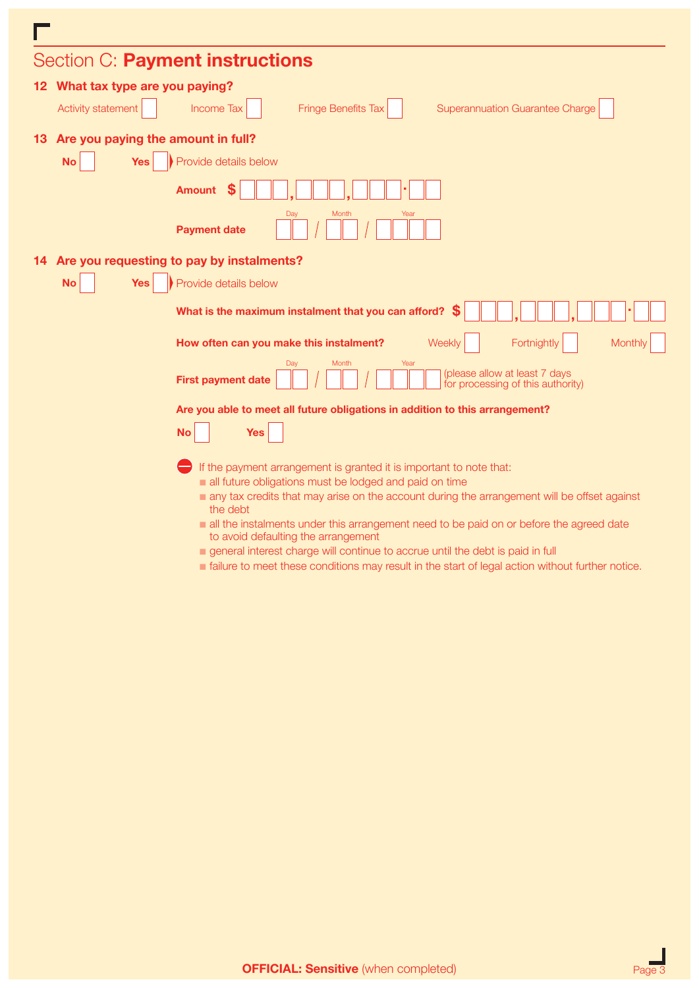|                                       | Section C: Payment instructions                                                                                               |
|---------------------------------------|-------------------------------------------------------------------------------------------------------------------------------|
| 12 What tax type are you paying?      |                                                                                                                               |
| Activity statement                    | <b>Fringe Benefits Tax</b><br><b>Income Tax</b><br><b>Superannuation Guarantee Charge</b>                                     |
| 13 Are you paying the amount in full? |                                                                                                                               |
| <b>No</b><br>Yes                      | Provide details below                                                                                                         |
|                                       | <b>Amount</b>                                                                                                                 |
|                                       | Day<br>Month<br>Year<br><b>Payment date</b>                                                                                   |
|                                       | 14 Are you requesting to pay by instalments?                                                                                  |
| <b>No</b><br><b>Yes</b>               | Provide details below                                                                                                         |
|                                       | What is the maximum instalment that you can afford?                                                                           |
|                                       | Fortnightly<br>Weekly<br>Monthly<br>How often can you make this instalment?                                                   |
|                                       | Day<br>Month<br>Year<br>(please allow at least 7 days<br><b>First payment date</b><br>for processing of this authority)       |
|                                       | Are you able to meet all future obligations in addition to this arrangement?                                                  |
|                                       | <b>No</b><br><b>Yes</b>                                                                                                       |
|                                       | If the payment arrangement is granted it is important to note that:<br>all future obligations must be lodged and paid on time |
|                                       | any tax credits that may arise on the account during the arrangement will be offset against<br>the debt                       |
|                                       | all the instalments under this arrangement need to be paid on or before the agreed date                                       |
|                                       | to avoid defaulting the arrangement<br>general interest charge will continue to accrue until the debt is paid in full         |
|                                       | a failure to meet these conditions may result in the start of legal action without further notice.                            |